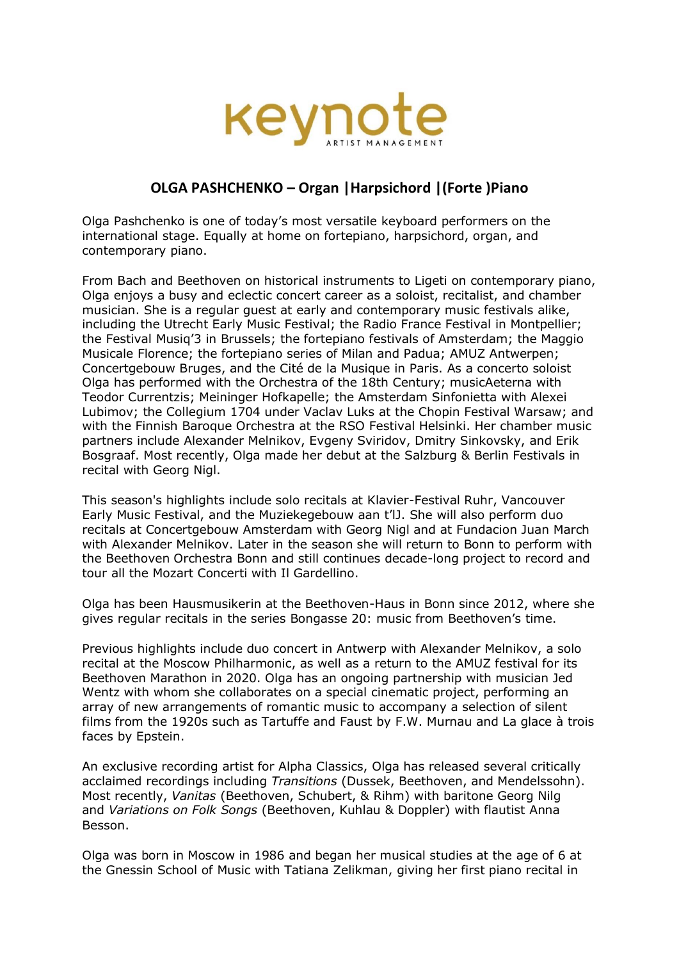

## **OLGA PASHCHENKO – Organ |Harpsichord |(Forte )Piano**

Olga Pashchenko is one of today's most versatile keyboard performers on the international stage. Equally at home on fortepiano, harpsichord, organ, and contemporary piano.

From Bach and Beethoven on historical instruments to Ligeti on contemporary piano, Olga enjoys a busy and eclectic concert career as a soloist, recitalist, and chamber musician. She is a regular guest at early and contemporary music festivals alike, including the Utrecht Early Music Festival; the Radio France Festival in Montpellier; the Festival Musiq'3 in Brussels; the fortepiano festivals of Amsterdam; the Maggio Musicale Florence; the fortepiano series of Milan and Padua; AMUZ Antwerpen; Concertgebouw Bruges, and the Cité de la Musique in Paris. As a concerto soloist Olga has performed with the Orchestra of the 18th Century; musicAeterna with Teodor Currentzis; Meininger Hofkapelle; the Amsterdam Sinfonietta with Alexei Lubimov; the Collegium 1704 under Vaclav Luks at the Chopin Festival Warsaw; and with the Finnish Baroque Orchestra at the RSO Festival Helsinki. Her chamber music partners include Alexander Melnikov, Evgeny Sviridov, Dmitry Sinkovsky, and Erik Bosgraaf. Most recently, Olga made her debut at the Salzburg & Berlin Festivals in recital with Georg Nigl.

This season's highlights include solo recitals at Klavier-Festival Ruhr, Vancouver Early Music Festival, and the Muziekegebouw aan t'lJ. She will also perform duo recitals at Concertgebouw Amsterdam with Georg Nigl and at Fundacion Juan March with Alexander Melnikov. Later in the season she will return to Bonn to perform with the Beethoven Orchestra Bonn and still continues decade-long project to record and tour all the Mozart Concerti with Il Gardellino.

Olga has been Hausmusikerin at the Beethoven-Haus in Bonn since 2012, where she gives regular recitals in the series Bongasse 20: music from Beethoven's time.

Previous highlights include duo concert in Antwerp with Alexander Melnikov, a solo recital at the Moscow Philharmonic, as well as a return to the AMUZ festival for its Beethoven Marathon in 2020. Olga has an ongoing partnership with musician Jed Wentz with whom she collaborates on a special cinematic project, performing an array of new arrangements of romantic music to accompany a selection of silent films from the 1920s such as Tartuffe and Faust by F.W. Murnau and La glace à trois faces by Epstein.

An exclusive recording artist for Alpha Classics, Olga has released several critically acclaimed recordings including *Transitions* (Dussek, Beethoven, and Mendelssohn). Most recently, *Vanitas* (Beethoven, Schubert, & Rihm) with baritone Georg Nilg and *Variations on Folk Songs* (Beethoven, Kuhlau & Doppler) with flautist Anna Besson.

Olga was born in Moscow in 1986 and began her musical studies at the age of 6 at the Gnessin School of Music with Tatiana Zelikman, giving her first piano recital in